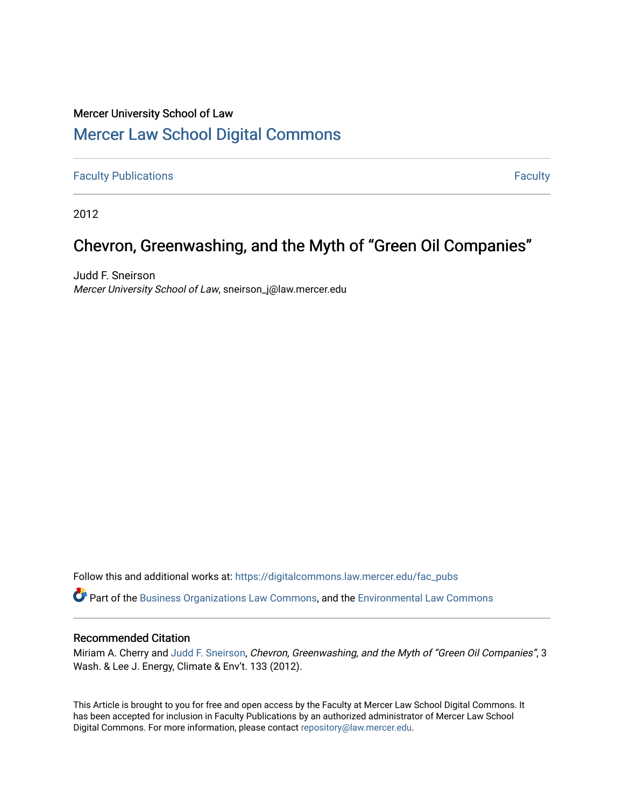# Mercer University School of Law

# [Mercer Law School Digital Commons](https://digitalcommons.law.mercer.edu/)

**[Faculty Publications](https://digitalcommons.law.mercer.edu/fac_pubs) [Faculty](https://digitalcommons.law.mercer.edu/faculty) Publications** Faculty **Faculty Faculty Faculty Faculty Faculty Faculty Faculty** 

2012

# Chevron, Greenwashing, and the Myth of "Green Oil Companies"

Judd F. Sneirson Mercer University School of Law, sneirson\_j@law.mercer.edu

Follow this and additional works at: [https://digitalcommons.law.mercer.edu/fac\\_pubs](https://digitalcommons.law.mercer.edu/fac_pubs?utm_source=digitalcommons.law.mercer.edu%2Ffac_pubs%2F76&utm_medium=PDF&utm_campaign=PDFCoverPages) 

Part of the [Business Organizations Law Commons](http://network.bepress.com/hgg/discipline/900?utm_source=digitalcommons.law.mercer.edu%2Ffac_pubs%2F76&utm_medium=PDF&utm_campaign=PDFCoverPages), and the [Environmental Law Commons](http://network.bepress.com/hgg/discipline/599?utm_source=digitalcommons.law.mercer.edu%2Ffac_pubs%2F76&utm_medium=PDF&utm_campaign=PDFCoverPages)

# Recommended Citation

Miriam A. Cherry and [Judd F. Sneirson,](https://guides.law.mercer.edu/sneirson) Chevron, Greenwashing, and the Myth of "Green Oil Companies", 3 Wash. & Lee J. Energy, Climate & Env't. 133 (2012).

This Article is brought to you for free and open access by the Faculty at Mercer Law School Digital Commons. It has been accepted for inclusion in Faculty Publications by an authorized administrator of Mercer Law School Digital Commons. For more information, please contact [repository@law.mercer.edu](mailto:repository@law.mercer.edu).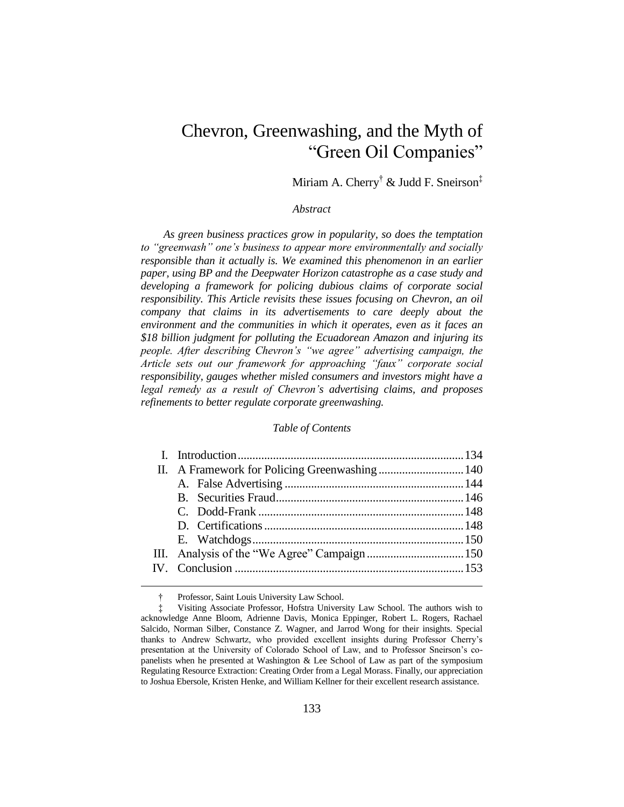# Chevron, Greenwashing, and the Myth of "Green Oil Companies"

Miriam A. Cherry† & Judd F. Sneirson‡

#### *Abstract*

*As green business practices grow in popularity, so does the temptation to "greenwash" one's business to appear more environmentally and socially responsible than it actually is. We examined this phenomenon in an earlier paper, using BP and the Deepwater Horizon catastrophe as a case study and developing a framework for policing dubious claims of corporate social responsibility. This Article revisits these issues focusing on Chevron, an oil company that claims in its advertisements to care deeply about the environment and the communities in which it operates, even as it faces an \$18 billion judgment for polluting the Ecuadorean Amazon and injuring its people. After describing Chevron's "we agree" advertising campaign, the Article sets out our framework for approaching "faux" corporate social responsibility, gauges whether misled consumers and investors might have a legal remedy as a result of Chevron's advertising claims, and proposes refinements to better regulate corporate greenwashing.*

#### *Table of Contents*

1

<sup>†</sup> Professor, Saint Louis University Law School.

<sup>‡</sup> Visiting Associate Professor, Hofstra University Law School. The authors wish to acknowledge Anne Bloom, Adrienne Davis, Monica Eppinger, Robert L. Rogers, Rachael Salcido, Norman Silber, Constance Z. Wagner, and Jarrod Wong for their insights. Special thanks to Andrew Schwartz, who provided excellent insights during Professor Cherry's presentation at the University of Colorado School of Law, and to Professor Sneirson's copanelists when he presented at Washington & Lee School of Law as part of the symposium Regulating Resource Extraction: Creating Order from a Legal Morass. Finally, our appreciation to Joshua Ebersole, Kristen Henke, and William Kellner for their excellent research assistance.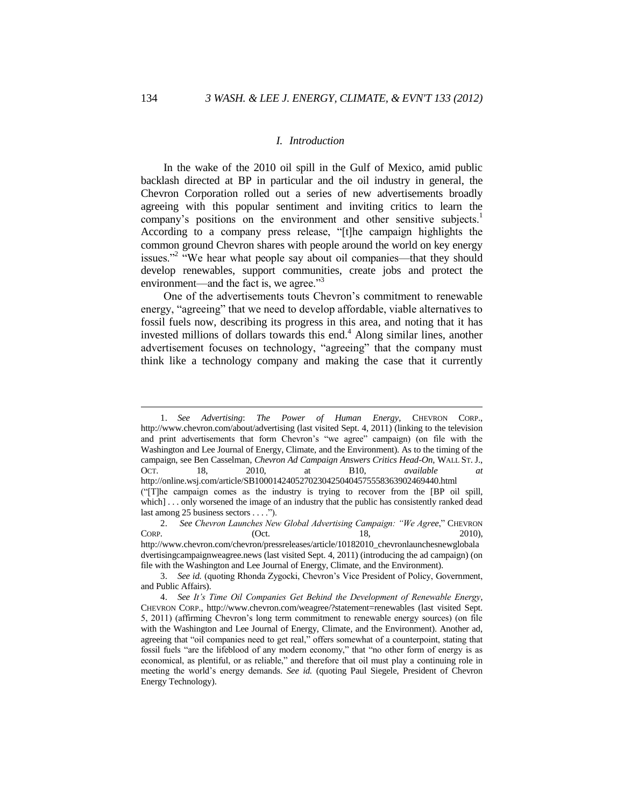## *I. Introduction*

In the wake of the 2010 oil spill in the Gulf of Mexico, amid public backlash directed at BP in particular and the oil industry in general, the Chevron Corporation rolled out a series of new advertisements broadly agreeing with this popular sentiment and inviting critics to learn the company's positions on the environment and other sensitive subjects.<sup>1</sup> According to a company press release, "[t]he campaign highlights the common ground Chevron shares with people around the world on key energy issues."<sup>2</sup> "We hear what people say about oil companies—that they should develop renewables, support communities, create jobs and protect the environment—and the fact is, we agree."<sup>3</sup>

One of the advertisements touts Chevron's commitment to renewable energy, "agreeing" that we need to develop affordable, viable alternatives to fossil fuels now, describing its progress in this area, and noting that it has invested millions of dollars towards this end.<sup>4</sup> Along similar lines, another advertisement focuses on technology, "agreeing" that the company must think like a technology company and making the case that it currently

<sup>1.</sup> *See Advertising*: *The Power of Human Energy*, CHEVRON CORP., http://www.chevron.com/about/advertising (last visited Sept. 4, 2011) (linking to the television and print advertisements that form Chevron's "we agree" campaign) (on file with the Washington and Lee Journal of Energy, Climate, and the Environment). As to the timing of the campaign, see Ben Casselman, *Chevron Ad Campaign Answers Critics Head-On*, WALL ST. J., OCT. 18, 2010, at B10, *available at*  http://online.wsj.com/article/SB10001424052702304250404575558363902469440.html ("[T]he campaign comes as the industry is trying to recover from the [BP oil spill, which] . . . only worsened the image of an industry that the public has consistently ranked dead last among 25 business sectors . . . .").

<sup>2.</sup> *See Chevron Launches New Global Advertising Campaign: "We Agree,"* CHEVRON CORP. (Oct. 18, 2010). CORP. (Oct. 18, 2010), http://www.chevron.com/chevron/pressreleases/article/10182010\_chevronlaunchesnewglobala dvertisingcampaignweagree.news (last visited Sept. 4, 2011) (introducing the ad campaign) (on file with the Washington and Lee Journal of Energy, Climate, and the Environment).

<sup>3.</sup> *See id.* (quoting Rhonda Zygocki, Chevron's Vice President of Policy, Government, and Public Affairs).

<sup>4.</sup> *See It's Time Oil Companies Get Behind the Development of Renewable Energy*, CHEVRON CORP., http://www.chevron.com/weagree/?statement=renewables (last visited Sept. 5, 2011) (affirming Chevron's long term commitment to renewable energy sources) (on file with the Washington and Lee Journal of Energy, Climate, and the Environment). Another ad, agreeing that "oil companies need to get real," offers somewhat of a counterpoint, stating that fossil fuels "are the lifeblood of any modern economy," that "no other form of energy is as economical, as plentiful, or as reliable," and therefore that oil must play a continuing role in meeting the world's energy demands. *See id.* (quoting Paul Siegele, President of Chevron Energy Technology).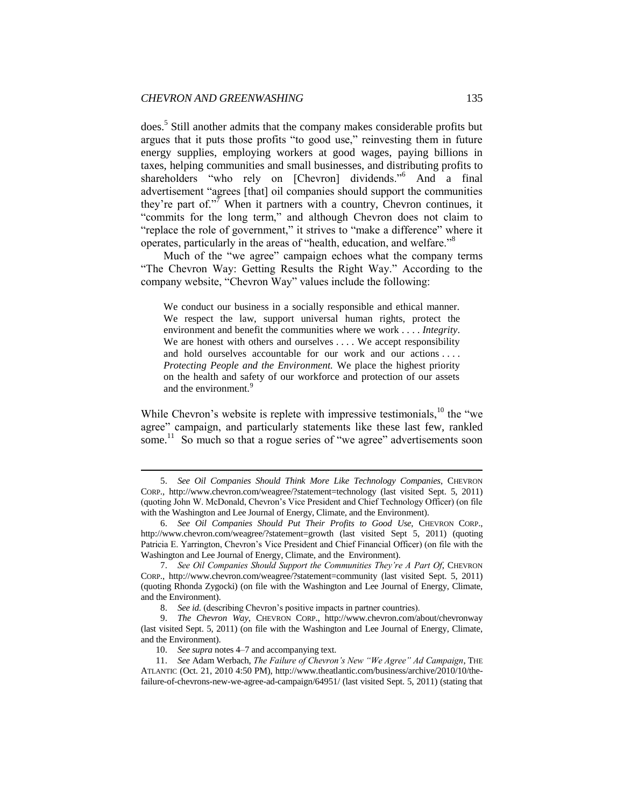does.<sup>5</sup> Still another admits that the company makes considerable profits but argues that it puts those profits "to good use," reinvesting them in future energy supplies, employing workers at good wages, paying billions in taxes, helping communities and small businesses, and distributing profits to shareholders "who rely on [Chevron] dividends."<sup>6</sup> And a final advertisement "agrees [that] oil companies should support the communities they're part of."<sup>7</sup> When it partners with a country, Chevron continues, it "commits for the long term," and although Chevron does not claim to "replace the role of government," it strives to "make a difference" where it operates, particularly in the areas of "health, education, and welfare."<sup>8</sup>

Much of the "we agree" campaign echoes what the company terms "The Chevron Way: Getting Results the Right Way." According to the company website, "Chevron Way" values include the following:

We conduct our business in a socially responsible and ethical manner. We respect the law, support universal human rights, protect the environment and benefit the communities where we work . . . . *Integrity*. We are honest with others and ourselves . . . . We accept responsibility and hold ourselves accountable for our work and our actions . . . . *Protecting People and the Environment.* We place the highest priority on the health and safety of our workforce and protection of our assets and the environment.<sup>9</sup>

While Chevron's website is replete with impressive testimonials,  $10$  the "we agree" campaign, and particularly statements like these last few, rankled some.<sup>11</sup> So much so that a rogue series of "we agree" advertisements soon

<sup>5.</sup> *See Oil Companies Should Think More Like Technology Companies*, CHEVRON CORP., http://www.chevron.com/weagree/?statement=technology (last visited Sept. 5, 2011) (quoting John W. McDonald, Chevron's Vice President and Chief Technology Officer) (on file with the Washington and Lee Journal of Energy, Climate, and the Environment).

<sup>6.</sup> *See Oil Companies Should Put Their Profits to Good Use*, CHEVRON CORP., http://www.chevron.com/weagree/?statement=growth (last visited Sept 5, 2011) (quoting Patricia E. Yarrington, Chevron's Vice President and Chief Financial Officer) (on file with the Washington and Lee Journal of Energy, Climate, and the Environment).

<sup>7.</sup> *See Oil Companies Should Support the Communities They're A Part Of*, CHEVRON CORP., http://www.chevron.com/weagree/?statement=community (last visited Sept. 5, 2011) (quoting Rhonda Zygocki) (on file with the Washington and Lee Journal of Energy, Climate, and the Environment).

<sup>8.</sup> *See id.* (describing Chevron's positive impacts in partner countries).

<sup>9.</sup> *The Chevron Way*, CHEVRON CORP., http://www.chevron.com/about/chevronway (last visited Sept. 5, 2011) (on file with the Washington and Lee Journal of Energy, Climate, and the Environment).

<sup>10.</sup> *See supra* notes 4–7 and accompanying text.

<sup>11.</sup> *See* Adam Werbach, *The Failure of Chevron's New "We Agree" Ad Campaign*, THE ATLANTIC (Oct. 21, 2010 4:50 PM), http://www.theatlantic.com/business/archive/2010/10/thefailure-of-chevrons-new-we-agree-ad-campaign/64951/ (last visited Sept. 5, 2011) (stating that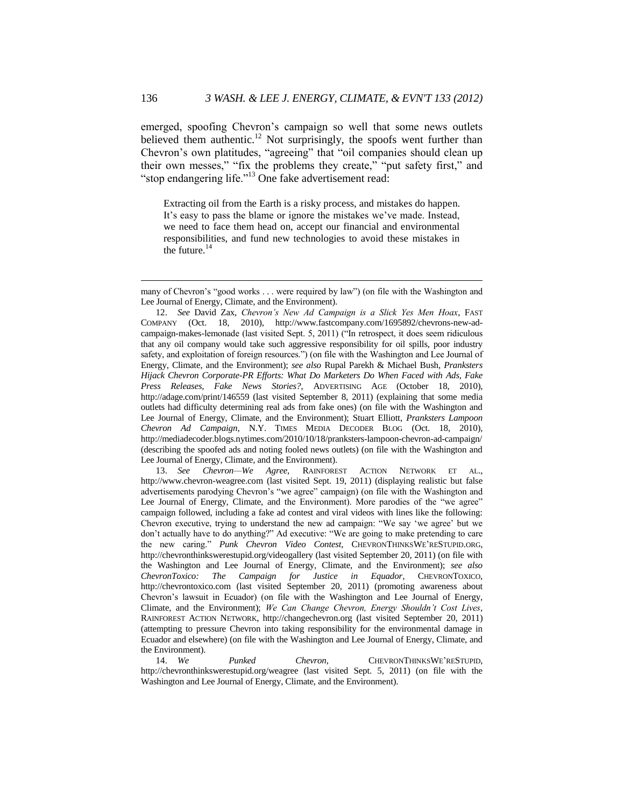emerged, spoofing Chevron's campaign so well that some news outlets believed them authentic.<sup>12</sup> Not surprisingly, the spoofs went further than Chevron's own platitudes, "agreeing" that "oil companies should clean up their own messes," "fix the problems they create," "put safety first," and "stop endangering life."<sup>13</sup> One fake advertisement read:

Extracting oil from the Earth is a risky process, and mistakes do happen. It's easy to pass the blame or ignore the mistakes we've made. Instead, we need to face them head on, accept our financial and environmental responsibilities, and fund new technologies to avoid these mistakes in the future. $14$ 

13. *See Chevron—We Agree*, RAINFOREST ACTION NETWORK ET AL., http://www.chevron-weagree.com (last visited Sept. 19, 2011) (displaying realistic but false advertisements parodying Chevron's "we agree" campaign) (on file with the Washington and Lee Journal of Energy, Climate, and the Environment). More parodies of the "we agree" campaign followed, including a fake ad contest and viral videos with lines like the following: Chevron executive, trying to understand the new ad campaign: "We say 'we agree' but we don't actually have to do anything?" Ad executive: "We are going to make pretending to care the new caring." *Punk Chevron Video Contest*, CHEVRONTHINKSWE'RESTUPID.ORG, http://chevronthinkswerestupid.org/videogallery (last visited September 20, 2011) (on file with the Washington and Lee Journal of Energy, Climate, and the Environment); *see also ChevronToxico: The Campaign for Justice in Equador*, CHEVRONTOXICO, http://chevrontoxico.com (last visited September 20, 2011) (promoting awareness about Chevron's lawsuit in Ecuador) (on file with the Washington and Lee Journal of Energy, Climate, and the Environment); *We Can Change Chevron, Energy Shouldn't Cost Lives*, RAINFOREST ACTION NETWORK, http://changechevron.org (last visited September 20, 2011) (attempting to pressure Chevron into taking responsibility for the environmental damage in Ecuador and elsewhere) (on file with the Washington and Lee Journal of Energy, Climate, and the Environment).

many of Chevron's "good works . . . were required by law") (on file with the Washington and Lee Journal of Energy, Climate, and the Environment).

<sup>12.</sup> *See* David Zax, *Chevron's New Ad Campaign is a Slick Yes Men Hoax*, FAST COMPANY (Oct. 18, 2010), http://www.fastcompany.com/1695892/chevrons-new-adcampaign-makes-lemonade (last visited Sept. 5, 2011) ("In retrospect, it does seem ridiculous that any oil company would take such aggressive responsibility for oil spills, poor industry safety, and exploitation of foreign resources.") (on file with the Washington and Lee Journal of Energy, Climate, and the Environment); *see also* Rupal Parekh & Michael Bush, *Pranksters Hijack Chevron Corporate-PR Efforts: What Do Marketers Do When Faced with Ads, Fake Press Releases, Fake News Stories?*, ADVERTISING AGE (October 18, 2010), http://adage.com/print/146559 (last visited September 8, 2011) (explaining that some media outlets had difficulty determining real ads from fake ones) (on file with the Washington and Lee Journal of Energy, Climate, and the Environment); Stuart Elliott, *Pranksters Lampoon Chevron Ad Campaign*, N.Y. TIMES MEDIA DECODER BLOG (Oct. 18, 2010), http://mediadecoder.blogs.nytimes.com/2010/10/18/pranksters-lampoon-chevron-ad-campaign/ (describing the spoofed ads and noting fooled news outlets) (on file with the Washington and Lee Journal of Energy, Climate, and the Environment).

<sup>14.</sup> *We Punked Chevron*, CHEVRONTHINKSWE'RESTUPID, http://chevronthinkswerestupid.org/weagree (last visited Sept. 5, 2011) (on file with the Washington and Lee Journal of Energy, Climate, and the Environment).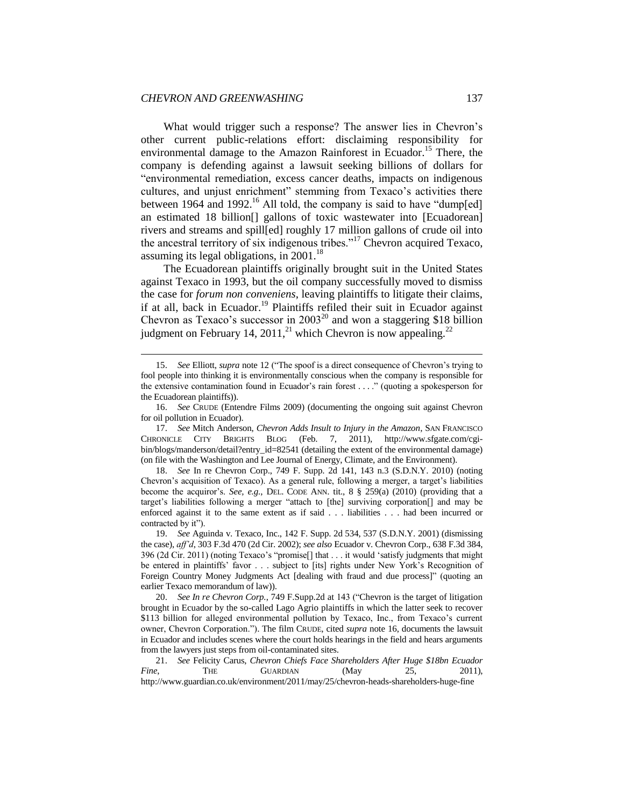**.** 

What would trigger such a response? The answer lies in Chevron's other current public-relations effort: disclaiming responsibility for environmental damage to the Amazon Rainforest in Ecuador.<sup>15</sup> There, the company is defending against a lawsuit seeking billions of dollars for "environmental remediation, excess cancer deaths, impacts on indigenous cultures, and unjust enrichment" stemming from Texaco's activities there between 1964 and 1992.<sup>16</sup> All told, the company is said to have "dump[ed] an estimated 18 billion[] gallons of toxic wastewater into [Ecuadorean] rivers and streams and spill[ed] roughly 17 million gallons of crude oil into the ancestral territory of six indigenous tribes."<sup>17</sup> Chevron acquired Texaco, assuming its legal obligations, in  $2001$ .<sup>18</sup>

The Ecuadorean plaintiffs originally brought suit in the United States against Texaco in 1993, but the oil company successfully moved to dismiss the case for *forum non conveniens*, leaving plaintiffs to litigate their claims, if at all, back in Ecuador.<sup>19</sup> Plaintiffs refiled their suit in Ecuador against Chevron as Texaco's successor in  $2003^{20}$  and won a staggering \$18 billion judgment on February 14, 2011,<sup>21</sup> which Chevron is now appealing.<sup>22</sup>

18. *See* In re Chevron Corp., 749 F. Supp. 2d 141, 143 n.3 (S.D.N.Y. 2010) (noting Chevron's acquisition of Texaco). As a general rule, following a merger, a target's liabilities become the acquiror's. *See, e.g.*, DEL. CODE ANN. tit., 8 § 259(a) (2010) (providing that a target's liabilities following a merger "attach to [the] surviving corporation[] and may be enforced against it to the same extent as if said . . . liabilities . . . had been incurred or contracted by it").

19. *See* Aguinda v. Texaco, Inc., 142 F. Supp. 2d 534, 537 (S.D.N.Y. 2001) (dismissing the case), *aff'd*, 303 F.3d 470 (2d Cir. 2002); *see also* Ecuador v. Chevron Corp., 638 F.3d 384, 396 (2d Cir. 2011) (noting Texaco's "promise[] that . . . it would 'satisfy judgments that might be entered in plaintiffs' favor . . . subject to [its] rights under New York's Recognition of Foreign Country Money Judgments Act [dealing with fraud and due process]" (quoting an earlier Texaco memorandum of law)).

20. *See In re Chevron Corp.*, 749 F.Supp.2d at 143 ("Chevron is the target of litigation brought in Ecuador by the so-called Lago Agrio plaintiffs in which the latter seek to recover \$113 billion for alleged environmental pollution by Texaco, Inc., from Texaco's current owner, Chevron Corporation."). The film CRUDE, cited *supra* note 16, documents the lawsuit in Ecuador and includes scenes where the court holds hearings in the field and hears arguments from the lawyers just steps from oil-contaminated sites.

21. *See* Felicity Carus, *Chevron Chiefs Face Shareholders After Huge \$18bn Ecuador Fine*, THE GUARDIAN (May 25, 2011), http://www.guardian.co.uk/environment/2011/may/25/chevron-heads-shareholders-huge-fine

<sup>15.</sup> *See* Elliott, *supra* note 12 ("The spoof is a direct consequence of Chevron's trying to fool people into thinking it is environmentally conscious when the company is responsible for the extensive contamination found in Ecuador's rain forest *.* . . ." (quoting a spokesperson for the Ecuadorean plaintiffs)).

<sup>16.</sup> *See* CRUDE (Entendre Films 2009) (documenting the ongoing suit against Chevron for oil pollution in Ecuador).

<sup>17.</sup> *See* Mitch Anderson, *Chevron Adds Insult to Injury in the Amazon*, SAN FRANCISCO CHRONICLE CITY BRIGHTS BLOG (Feb. 7, 2011), http://www.sfgate.com/cgibin/blogs/manderson/detail?entry\_id=82541 (detailing the extent of the environmental damage) (on file with the Washington and Lee Journal of Energy, Climate, and the Environment).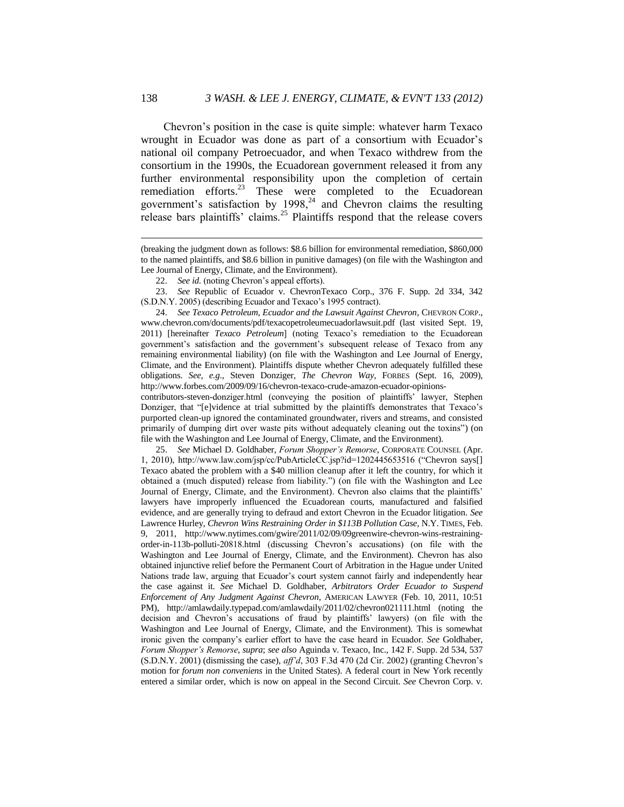Chevron's position in the case is quite simple: whatever harm Texaco wrought in Ecuador was done as part of a consortium with Ecuador's national oil company Petroecuador, and when Texaco withdrew from the consortium in the 1990s, the Ecuadorean government released it from any further environmental responsibility upon the completion of certain remediation efforts.<sup>23</sup> These were completed to the Ecuadorean government's satisfaction by  $1998$ ,<sup>24</sup> and Chevron claims the resulting release bars plaintiffs' claims.<sup>25</sup> Plaintiffs respond that the release covers

24. See Texaco Petroleum, Ecuador and the Lawsuit Against Chevron, CHEVRON CORP., www.chevron.com/documents/pdf/texacopetroleumecuadorlawsuit.pdf (last visited Sept. 19, 2011) [hereinafter *Texaco Petroleum*] (noting Texaco's remediation to the Ecuadorean government's satisfaction and the government's subsequent release of Texaco from any remaining environmental liability) (on file with the Washington and Lee Journal of Energy, Climate, and the Environment). Plaintiffs dispute whether Chevron adequately fulfilled these obligations. *See, e.g*., Steven Donziger, *The Chevron Way*, FORBES (Sept. 16, 2009), http://www.forbes.com/2009/09/16/chevron-texaco-crude-amazon-ecuador-opinions-

contributors-steven-donziger.html (conveying the position of plaintiffs' lawyer, Stephen Donziger, that "[e]vidence at trial submitted by the plaintiffs demonstrates that Texaco's purported clean-up ignored the contaminated groundwater, rivers and streams, and consisted primarily of dumping dirt over waste pits without adequately cleaning out the toxins") (on file with the Washington and Lee Journal of Energy, Climate, and the Environment).

25. *See* Michael D. Goldhaber, *Forum Shopper's Remorse*, CORPORATE COUNSEL (Apr. 1, 2010), http://www.law.com/jsp/cc/PubArticleCC.jsp?id=1202445653516 ("Chevron says[] Texaco abated the problem with a \$40 million cleanup after it left the country, for which it obtained a (much disputed) release from liability.") (on file with the Washington and Lee Journal of Energy, Climate, and the Environment). Chevron also claims that the plaintiffs' lawyers have improperly influenced the Ecuadorean courts, manufactured and falsified evidence, and are generally trying to defraud and extort Chevron in the Ecuador litigation. *See* Lawrence Hurley, *Chevron Wins Restraining Order in \$113B Pollution Case*, N.Y. TIMES, Feb. 9, 2011, http://www.nytimes.com/gwire/2011/02/09/09greenwire-chevron-wins-restrainingorder-in-113b-polluti-20818.html (discussing Chevron's accusations) (on file with the Washington and Lee Journal of Energy, Climate, and the Environment). Chevron has also obtained injunctive relief before the Permanent Court of Arbitration in the Hague under United Nations trade law, arguing that Ecuador's court system cannot fairly and independently hear the case against it. *See* Michael D. Goldhaber, *Arbitrators Order Ecuador to Suspend Enforcement of Any Judgment Against Chevron*, AMERICAN LAWYER (Feb. 10, 2011, 10:51 PM), http://amlawdaily.typepad.com/amlawdaily/2011/02/chevron021111.html (noting the decision and Chevron's accusations of fraud by plaintiffs' lawyers) (on file with the Washington and Lee Journal of Energy, Climate, and the Environment). This is somewhat ironic given the company's earlier effort to have the case heard in Ecuador. *See* Goldhaber, *Forum Shopper's Remorse*, *supra*; *see also* Aguinda v. Texaco, Inc., 142 F. Supp. 2d 534, 537 (S.D.N.Y. 2001) (dismissing the case), *aff'd*, 303 F.3d 470 (2d Cir. 2002) (granting Chevron's motion for *forum non conveniens* in the United States). A federal court in New York recently entered a similar order, which is now on appeal in the Second Circuit. *See* Chevron Corp. v.

1

<sup>(</sup>breaking the judgment down as follows: \$8.6 billion for environmental remediation, \$860,000 to the named plaintiffs, and \$8.6 billion in punitive damages) (on file with the Washington and Lee Journal of Energy, Climate, and the Environment).

<sup>22.</sup> *See id.* (noting Chevron's appeal efforts).

<sup>23.</sup> *See* Republic of Ecuador v. ChevronTexaco Corp., 376 F. Supp. 2d 334, 342 (S.D.N.Y. 2005) (describing Ecuador and Texaco's 1995 contract).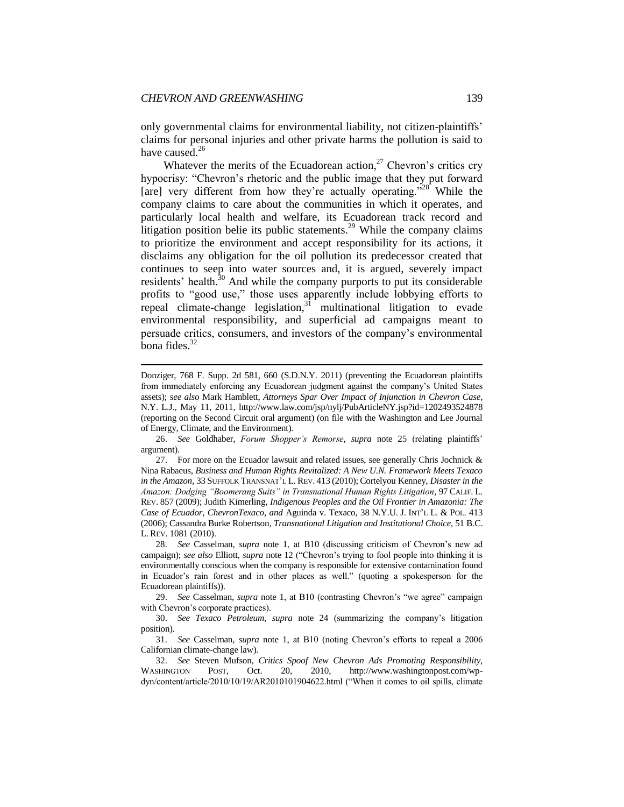**.** 

only governmental claims for environmental liability, not citizen-plaintiffs' claims for personal injuries and other private harms the pollution is said to have caused.<sup>26</sup>

Whatever the merits of the Ecuadorean action, $^{27}$  Chevron's critics cry hypocrisy: "Chevron's rhetoric and the public image that they put forward [are] very different from how they're actually operating."<sup>28</sup> While the company claims to care about the communities in which it operates, and particularly local health and welfare, its Ecuadorean track record and litigation position belie its public statements.<sup>29</sup> While the company claims to prioritize the environment and accept responsibility for its actions, it disclaims any obligation for the oil pollution its predecessor created that continues to seep into water sources and, it is argued, severely impact residents' health. $30$  And while the company purports to put its considerable profits to "good use," those uses apparently include lobbying efforts to repeal climate-change legislation, $31 \text{ multinational}$  litigation to evade environmental responsibility, and superficial ad campaigns meant to persuade critics, consumers, and investors of the company's environmental bona fides. $32$ 

29. *See* Casselman, *supra* note 1, at B10 (contrasting Chevron's "we agree" campaign with Chevron's corporate practices).

30. *See Texaco Petroleum*, *supra* note 24 (summarizing the company's litigation position).

Donziger, 768 F. Supp. 2d 581, 660 (S.D.N.Y. 2011) (preventing the Ecuadorean plaintiffs from immediately enforcing any Ecuadorean judgment against the company's United States assets); s*ee also* Mark Hamblett, *Attorneys Spar Over Impact of Injunction in Chevron Case*, N.Y. L.J., May 11, 2011, http://www.law.com/jsp/nylj/PubArticleNY.jsp?id=1202493524878 (reporting on the Second Circuit oral argument) (on file with the Washington and Lee Journal of Energy, Climate, and the Environment).

<sup>26.</sup> *See* Goldhaber, *Forum Shopper's Remorse*, *supra* note 25 (relating plaintiffs' argument).

<sup>27.</sup> For more on the Ecuador lawsuit and related issues, see generally Chris Jochnick & Nina Rabaeus, *Business and Human Rights Revitalized: A New U.N. Framework Meets Texaco in the Amazon*, 33 SUFFOLK TRANSNAT'L L. REV. 413 (2010); Cortelyou Kenney, *Disaster in the Amazon: Dodging "Boomerang Suits" in Transnational Human Rights Litigation*, 97 CALIF. L. REV. 857 (2009); Judith Kimerling, *Indigenous Peoples and the Oil Frontier in Amazonia: The Case of Ecuador, ChevronTexaco, and* Aguinda v. Texaco, 38 N.Y.U. J. INT'L L. & POL. 413 (2006); Cassandra Burke Robertson, *Transnational Litigation and Institutional Choice*, 51 B.C. L. REV. 1081 (2010).

<sup>28.</sup> *See* Casselman, *supra* note 1, at B10 (discussing criticism of Chevron's new ad campaign); *see also* Elliott, *supra* note 12 ("Chevron's trying to fool people into thinking it is environmentally conscious when the company is responsible for extensive contamination found in Ecuador's rain forest and in other places as well." (quoting a spokesperson for the Ecuadorean plaintiffs)).

<sup>31.</sup> *See* Casselman, *supra* note 1, at B10 (noting Chevron's efforts to repeal a 2006 Californian climate-change law).

<sup>32.</sup> *See* Steven Mufson, *Critics Spoof New Chevron Ads Promoting Responsibility*, WASHINGTON POST, Oct. 20, 2010, http://www.washingtonpost.com/wpdyn/content/article/2010/10/19/AR2010101904622.html ("When it comes to oil spills, climate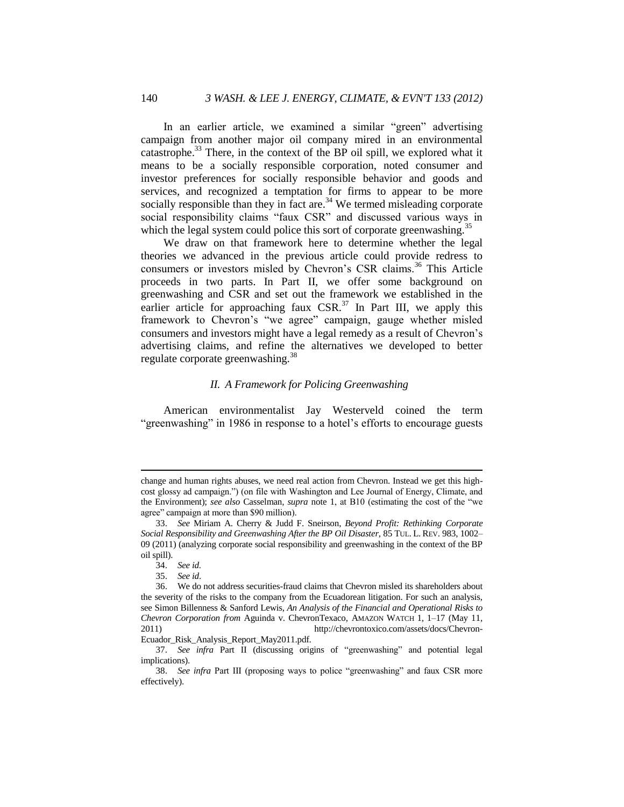In an earlier article, we examined a similar "green" advertising campaign from another major oil company mired in an environmental catastrophe.<sup>33</sup> There, in the context of the BP oil spill, we explored what it means to be a socially responsible corporation, noted consumer and investor preferences for socially responsible behavior and goods and services, and recognized a temptation for firms to appear to be more socially responsible than they in fact are.<sup>34</sup> We termed misleading corporate social responsibility claims "faux CSR" and discussed various ways in which the legal system could police this sort of corporate greenwashing.<sup>35</sup>

We draw on that framework here to determine whether the legal theories we advanced in the previous article could provide redress to consumers or investors misled by Chevron's CSR claims.<sup>36</sup> This Article proceeds in two parts. In Part II, we offer some background on greenwashing and CSR and set out the framework we established in the earlier article for approaching faux  $CSR<sup>37</sup>$  In Part III, we apply this framework to Chevron's "we agree" campaign, gauge whether misled consumers and investors might have a legal remedy as a result of Chevron's advertising claims, and refine the alternatives we developed to better regulate corporate greenwashing.<sup>38</sup>

#### <span id="page-8-0"></span>*II. A Framework for Policing Greenwashing*

American environmentalist Jay Westerveld coined the term "greenwashing" in 1986 in response to a hotel's efforts to encourage guests

change and human rights abuses, we need real action from Chevron. Instead we get this highcost glossy ad campaign.") (on file with Washington and Lee Journal of Energy, Climate, and the Environment); *see also* Casselman, *supra* note 1, at B10 (estimating the cost of the "we agree" campaign at more than \$90 million).

<sup>33.</sup> *See* Miriam A. Cherry & Judd F. Sneirson, *Beyond Profit: Rethinking Corporate Social Responsibility and Greenwashing After the BP Oil Disaster*, 85 TUL. L. REV. 983, 1002– 09 (2011) (analyzing corporate social responsibility and greenwashing in the context of the BP oil spill).

<sup>34.</sup> *See id.* 35. *See id*.

<sup>36.</sup> We do not address securities-fraud claims that Chevron misled its shareholders about the severity of the risks to the company from the Ecuadorean litigation. For such an analysis, see Simon Billenness & Sanford Lewis, *An Analysis of the Financial and Operational Risks to Chevron Corporation from* Aguinda v. ChevronTexaco, AMAZON WATCH 1, 1–17 (May 11, 2011) http://chevrontoxico.com/assets/docs/Chevron-Ecuador\_Risk\_Analysis\_Report\_May2011.pdf.

<sup>37.</sup> *See infra* Part II (discussing origins of "greenwashing" and potential legal implications).

<sup>38.</sup> *See infra* Part III (proposing ways to police "greenwashing" and faux CSR more effectively).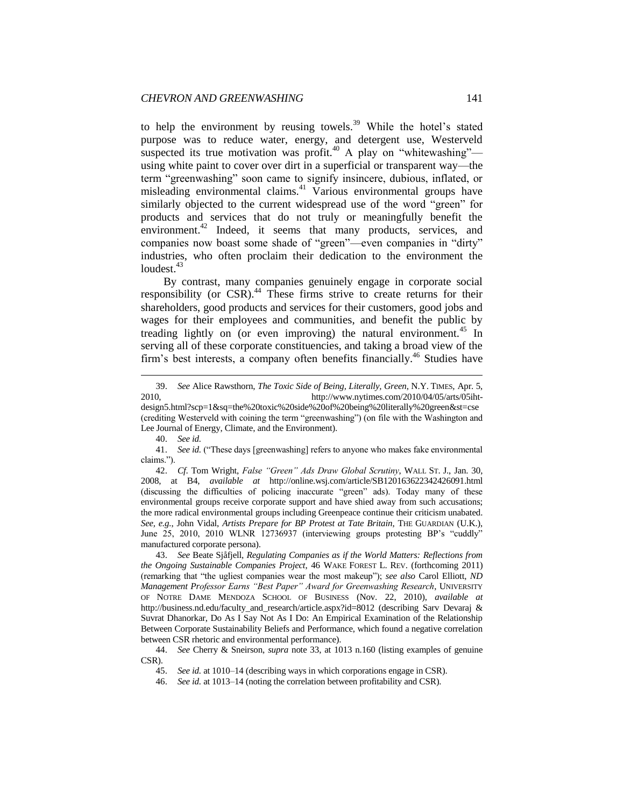to help the environment by reusing towels.<sup>39</sup> While the hotel's stated purpose was to reduce water, energy, and detergent use, Westerveld suspected its true motivation was profit.<sup>40</sup> A play on "whitewashing"using white paint to cover over dirt in a superficial or transparent way—the term "greenwashing" soon came to signify insincere, dubious, inflated, or misleading environmental claims.<sup>41</sup> Various environmental groups have similarly objected to the current widespread use of the word "green" for products and services that do not truly or meaningfully benefit the environment.<sup>42</sup> Indeed, it seems that many products, services, and companies now boast some shade of "green"—even companies in "dirty" industries, who often proclaim their dedication to the environment the loudest. $43$ 

By contrast, many companies genuinely engage in corporate social responsibility (or CSR).<sup>44</sup> These firms strive to create returns for their shareholders, good products and services for their customers, good jobs and wages for their employees and communities, and benefit the public by treading lightly on (or even improving) the natural environment.<sup>45</sup> In serving all of these corporate constituencies, and taking a broad view of the firm's best interests, a company often benefits financially.<sup>46</sup> Studies have

**.** 

43. *See* Beate Sjåfjell, *Regulating Companies as if the World Matters: Reflections from the Ongoing Sustainable Companies Project*, 46 WAKE FOREST L. REV. (forthcoming 2011) (remarking that "the ugliest companies wear the most makeup"); *see also* Carol Elliott, *ND Management Professor Earns "Best Paper" Award for Greenwashing Research*, UNIVERSITY OF NOTRE DAME MENDOZA SCHOOL OF BUSINESS (Nov. 22, 2010), *available at* http://business.nd.edu/faculty\_and\_research/article.aspx?id=8012 (describing Sarv Devaraj & Suvrat Dhanorkar, Do As I Say Not As I Do: An Empirical Examination of the Relationship Between Corporate Sustainability Beliefs and Performance, which found a negative correlation between CSR rhetoric and environmental performance).

<sup>39.</sup> *See* Alice Rawsthorn, *The Toxic Side of Being, Literally, Green*, N.Y. TIMES, Apr. 5, 2010, http://www.nytimes.com/2010/04/05/arts/05iht-

design5.html?scp=1&sq=the%20toxic%20side%20of%20being%20literally%20green&st=cse (crediting Westerveld with coining the term "greenwashing") (on file with the Washington and Lee Journal of Energy, Climate, and the Environment).

<sup>40.</sup> *See id.*

<sup>41.</sup> *See id.* ("These days [greenwashing] refers to anyone who makes fake environmental claims.").

<sup>42.</sup> *Cf*. Tom Wright, *False "Green" Ads Draw Global Scrutiny*, WALL ST. J., Jan. 30, 2008, at B4, *available at* http://online.wsj.com/article/SB120163622342426091.html (discussing the difficulties of policing inaccurate "green" ads). Today many of these environmental groups receive corporate support and have shied away from such accusations; the more radical environmental groups including Greenpeace continue their criticism unabated. *See, e.g.*, John Vidal, *Artists Prepare for BP Protest at Tate Britain*, THE GUARDIAN (U.K.), June 25, 2010, 2010 WLNR 12736937 (interviewing groups protesting BP's "cuddly" manufactured corporate persona).

<sup>44.</sup> *See* Cherry & Sneirson, *supra* note 33, at 1013 n.160 (listing examples of genuine CSR).

<sup>45.</sup> *See id.* at 1010–14 (describing ways in which corporations engage in CSR).

<sup>46.</sup> *See id.* at 1013–14 (noting the correlation between profitability and CSR).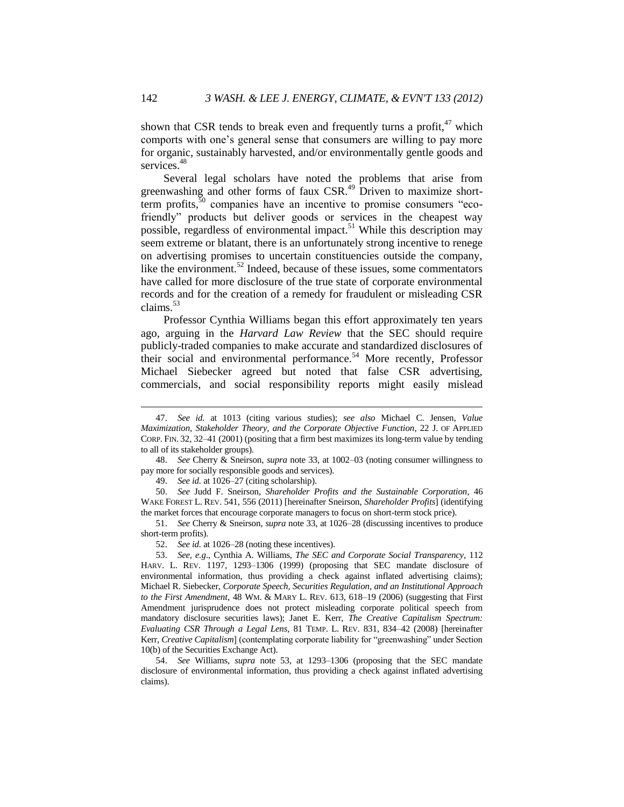shown that CSR tends to break even and frequently turns a profit, $47$  which comports with one's general sense that consumers are willing to pay more for organic, sustainably harvested, and/or environmentally gentle goods and services.<sup>48</sup>

Several legal scholars have noted the problems that arise from greenwashing and other forms of faux CSR.<sup>49</sup> Driven to maximize shortterm profits,<sup>50</sup> companies have an incentive to promise consumers "ecofriendly" products but deliver goods or services in the cheapest way possible, regardless of environmental impact.<sup>51</sup> While this description may seem extreme or blatant, there is an unfortunately strong incentive to renege on advertising promises to uncertain constituencies outside the company, like the environment.<sup>52</sup> Indeed, because of these issues, some commentators have called for more disclosure of the true state of corporate environmental records and for the creation of a remedy for fraudulent or misleading CSR claims.<sup>53</sup>

Professor Cynthia Williams began this effort approximately ten years ago, arguing in the *Harvard Law Review* that the SEC should require publicly-traded companies to make accurate and standardized disclosures of their social and environmental performance.<sup>54</sup> More recently, Professor Michael Siebecker agreed but noted that false CSR advertising, commercials, and social responsibility reports might easily mislead

48. *See* Cherry & Sneirson, *supra* note 33, at 1002–03 (noting consumer willingness to pay more for socially responsible goods and services).

49. *See id.* at 1026–27 (citing scholarship).

50. *See* Judd F. Sneirson, *Shareholder Profits and the Sustainable Corporation*, 46 WAKE FOREST L. REV. 541, 556 (2011) [hereinafter Sneirson, *Shareholder Profits*] (identifying the market forces that encourage corporate managers to focus on short-term stock price).

51. *See* Cherry & Sneirson, *supra* note 33, at 1026–28 (discussing incentives to produce short-term profits).

52. *See id.* at 1026–28 (noting these incentives).

54. *See* Williams, *supra* note 53, at 1293–1306 (proposing that the SEC mandate disclosure of environmental information, thus providing a check against inflated advertising claims).

<sup>47.</sup> *See id.* at 1013 (citing various studies); *see also* Michael C. Jensen, *Value Maximization, Stakeholder Theory, and the Corporate Objective Function*, 22 J. OF APPLIED CORP. FIN. 32, 32–41 (2001) (positing that a firm best maximizes its long-term value by tending to all of its stakeholder groups).

<sup>53.</sup> *See, e.g*., Cynthia A. Williams, *The SEC and Corporate Social Transparency*, 112 HARV. L. REV. 1197, 1293–1306 (1999) (proposing that SEC mandate disclosure of environmental information, thus providing a check against inflated advertising claims); Michael R. Siebecker, *Corporate Speech, Securities Regulation, and an Institutional Approach to the First Amendment*, 48 WM. & MARY L. REV. 613, 618–19 (2006) (suggesting that First Amendment jurisprudence does not protect misleading corporate political speech from mandatory disclosure securities laws); Janet E. Kerr, *The Creative Capitalism Spectrum: Evaluating CSR Through a Legal Lens*, 81 TEMP. L. REV. 831, 834–42 (2008) [hereinafter Kerr, *Creative Capitalism*] (contemplating corporate liability for "greenwashing" under Section 10(b) of the Securities Exchange Act).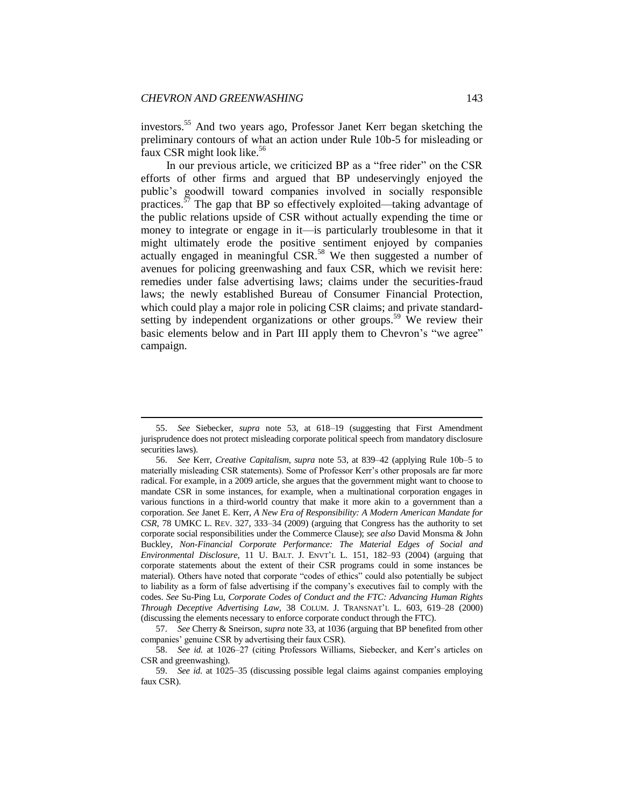$\overline{\phantom{a}}$ 

investors.<sup>55</sup> And two years ago, Professor Janet Kerr began sketching the preliminary contours of what an action under Rule 10b-5 for misleading or faux CSR might look like.<sup>56</sup>

In our previous article, we criticized BP as a "free rider" on the CSR efforts of other firms and argued that BP undeservingly enjoyed the public's goodwill toward companies involved in socially responsible practices.<sup>57</sup> The gap that BP so effectively exploited—taking advantage of the public relations upside of CSR without actually expending the time or money to integrate or engage in it—is particularly troublesome in that it might ultimately erode the positive sentiment enjoyed by companies actually engaged in meaningful CSR.<sup>58</sup> We then suggested a number of avenues for policing greenwashing and faux CSR, which we revisit here: remedies under false advertising laws; claims under the securities-fraud laws; the newly established Bureau of Consumer Financial Protection, which could play a major role in policing CSR claims; and private standardsetting by independent organizations or other groups.<sup>59</sup> We review their basic elements below and in Part III apply them to Chevron's "we agree" campaign.

<sup>55.</sup> *See* Siebecker, *supra* note 53, at 618–19 (suggesting that First Amendment jurisprudence does not protect misleading corporate political speech from mandatory disclosure securities laws).

<sup>56.</sup> *See* Kerr, *Creative Capitalism*, *supra* note 53, at 839–42 (applying Rule 10b–5 to materially misleading CSR statements). Some of Professor Kerr's other proposals are far more radical. For example, in a 2009 article, she argues that the government might want to choose to mandate CSR in some instances, for example, when a multinational corporation engages in various functions in a third-world country that make it more akin to a government than a corporation. *See* Janet E. Kerr, *A New Era of Responsibility: A Modern American Mandate for CSR*, 78 UMKC L. REV. 327, 333–34 (2009) (arguing that Congress has the authority to set corporate social responsibilities under the Commerce Clause); *see also* David Monsma & John Buckley, *Non-Financial Corporate Performance: The Material Edges of Social and Environmental Disclosure*, 11 U. BALT. J. ENVT'L L. 151, 182–93 (2004) (arguing that corporate statements about the extent of their CSR programs could in some instances be material). Others have noted that corporate "codes of ethics" could also potentially be subject to liability as a form of false advertising if the company's executives fail to comply with the codes. *See* Su-Ping Lu, *Corporate Codes of Conduct and the FTC: Advancing Human Rights Through Deceptive Advertising Law*, 38 COLUM. J. TRANSNAT'L L. 603, 619–28 (2000) (discussing the elements necessary to enforce corporate conduct through the FTC).

<sup>57.</sup> *See* Cherry & Sneirson, *supra* note 33, at 1036 (arguing that BP benefited from other companies' genuine CSR by advertising their faux CSR).

<sup>58.</sup> *See id.* at 1026–27 (citing Professors Williams, Siebecker, and Kerr's articles on CSR and greenwashing).

<sup>59.</sup> *See id.* at 1025–35 (discussing possible legal claims against companies employing faux CSR).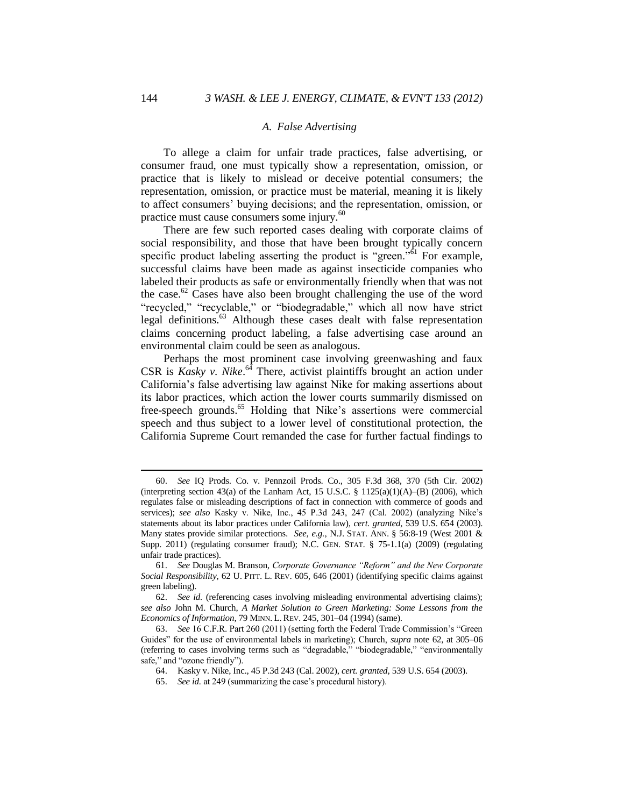#### <span id="page-12-0"></span>*A. False Advertising*

To allege a claim for unfair trade practices, false advertising, or consumer fraud, one must typically show a representation, omission, or practice that is likely to mislead or deceive potential consumers; the representation, omission, or practice must be material, meaning it is likely to affect consumers' buying decisions; and the representation, omission, or practice must cause consumers some injury.<sup>60</sup>

There are few such reported cases dealing with corporate claims of social responsibility, and those that have been brought typically concern specific product labeling asserting the product is "green."<sup>61</sup> For example. successful claims have been made as against insecticide companies who labeled their products as safe or environmentally friendly when that was not the case.<sup>62</sup> Cases have also been brought challenging the use of the word "recycled," "recyclable," or "biodegradable," which all now have strict legal definitions.<sup>63</sup> Although these cases dealt with false representation claims concerning product labeling, a false advertising case around an environmental claim could be seen as analogous.

Perhaps the most prominent case involving greenwashing and faux CSR is *Kasky v. Nike*. <sup>64</sup> There, activist plaintiffs brought an action under California's false advertising law against Nike for making assertions about its labor practices, which action the lower courts summarily dismissed on free-speech grounds.<sup>65</sup> Holding that Nike's assertions were commercial speech and thus subject to a lower level of constitutional protection, the California Supreme Court remanded the case for further factual findings to

<sup>60.</sup> *See* IQ Prods. Co. v. Pennzoil Prods. Co., 305 F.3d 368, 370 (5th Cir. 2002) (interpreting section 43(a) of the Lanham Act, 15 U.S.C.  $\S$  1125(a)(1)(A)–(B) (2006), which regulates false or misleading descriptions of fact in connection with commerce of goods and services); *see also* Kasky v. Nike, Inc., 45 P.3d 243, 247 (Cal. 2002) (analyzing Nike's statements about its labor practices under California law), *cert. granted*, 539 U.S. 654 (2003). Many states provide similar protections. *See, e.g.*, N.J. STAT. ANN. § 56:8-19 (West 2001 & Supp. 2011) (regulating consumer fraud); N.C. GEN. STAT. § 75-1.1(a) (2009) (regulating unfair trade practices).

<sup>61.</sup> *See* Douglas M. Branson, *Corporate Governance "Reform" and the New Corporate Social Responsibility*, 62 U. PITT. L. REV. 605, 646 (2001) (identifying specific claims against green labeling).

<sup>62.</sup> *See id.* (referencing cases involving misleading environmental advertising claims); *see also* John M. Church, *A Market Solution to Green Marketing: Some Lessons from the Economics of Information*, 79 MINN. L. REV. 245, 301–04 (1994) (same).

<sup>63.</sup> *See* 16 C.F.R. Part 260 (2011) (setting forth the Federal Trade Commission's "Green Guides" for the use of environmental labels in marketing); Church, *supra* note 62, at 305–06 (referring to cases involving terms such as "degradable," "biodegradable," "environmentally safe," and "ozone friendly").

<sup>64.</sup> Kasky v. Nike, Inc., 45 P.3d 243 (Cal. 2002), *cert. granted*, 539 U.S. 654 (2003).

<sup>65.</sup> *See id.* at 249 (summarizing the case's procedural history).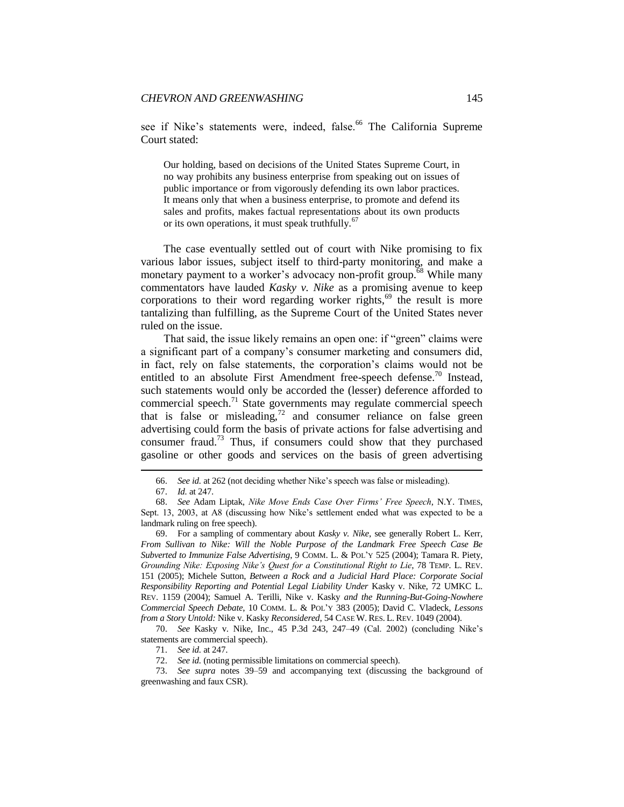see if Nike's statements were, indeed, false.<sup>66</sup> The California Supreme Court stated:

Our holding, based on decisions of the United States Supreme Court, in no way prohibits any business enterprise from speaking out on issues of public importance or from vigorously defending its own labor practices. It means only that when a business enterprise, to promote and defend its sales and profits, makes factual representations about its own products or its own operations, it must speak truthfully.<sup>67</sup>

The case eventually settled out of court with Nike promising to fix various labor issues, subject itself to third-party monitoring, and make a monetary payment to a worker's advocacy non-profit group.<sup>68</sup> While many commentators have lauded *Kasky v. Nike* as a promising avenue to keep corporations to their word regarding worker rights, $69$  the result is more tantalizing than fulfilling, as the Supreme Court of the United States never ruled on the issue.

That said, the issue likely remains an open one: if "green" claims were a significant part of a company's consumer marketing and consumers did, in fact, rely on false statements, the corporation's claims would not be entitled to an absolute First Amendment free-speech defense.<sup>70</sup> Instead, such statements would only be accorded the (lesser) deference afforded to commercial speech.<sup>71</sup> State governments may regulate commercial speech that is false or misleading,  $72$  and consumer reliance on false green advertising could form the basis of private actions for false advertising and consumer fraud.<sup>73</sup> Thus, if consumers could show that they purchased gasoline or other goods and services on the basis of green advertising

<sup>66.</sup> *See id.* at 262 (not deciding whether Nike's speech was false or misleading).

<sup>67.</sup> *Id.* at 247.

<sup>68.</sup> *See* Adam Liptak, *Nike Move Ends Case Over Firms' Free Speech*, N.Y. TIMES, Sept. 13, 2003, at A8 (discussing how Nike's settlement ended what was expected to be a landmark ruling on free speech).

<sup>69.</sup> For a sampling of commentary about *Kasky v. Nike*, see generally Robert L. Kerr, *From Sullivan to Nike: Will the Noble Purpose of the Landmark Free Speech Case Be Subverted to Immunize False Advertising*, 9 COMM. L. & POL'Y 525 (2004); Tamara R. Piety, *Grounding Nike: Exposing Nike's Quest for a Constitutional Right to Lie*, 78 TEMP. L. REV. 151 (2005); Michele Sutton, *Between a Rock and a Judicial Hard Place: Corporate Social Responsibility Reporting and Potential Legal Liability Under* Kasky v. Nike, 72 UMKC L. REV. 1159 (2004); Samuel A. Terilli, Nike v. Kasky *and the Running-But-Going-Nowhere Commercial Speech Debate*, 10 COMM. L. & POL'Y 383 (2005); David C. Vladeck, *Lessons from a Story Untold:* Nike v. Kasky *Reconsidered*, 54 CASE W. RES. L. REV. 1049 (2004).

<sup>70.</sup> *See* Kasky v. Nike, Inc., 45 P.3d 243, 247–49 (Cal. 2002) (concluding Nike's statements are commercial speech).

<sup>71.</sup> *See id.* at 247.

<sup>72.</sup> *See id.* (noting permissible limitations on commercial speech).

<sup>73.</sup> *See supra* notes 39–59 and accompanying text (discussing the background of greenwashing and faux CSR).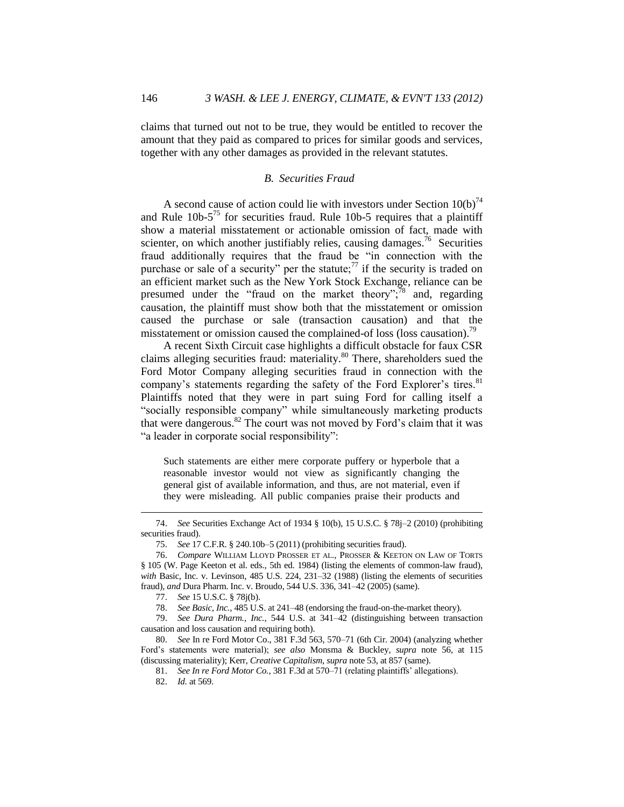claims that turned out not to be true, they would be entitled to recover the amount that they paid as compared to prices for similar goods and services, together with any other damages as provided in the relevant statutes.

#### <span id="page-14-0"></span>*B. Securities Fraud*

A second cause of action could lie with investors under Section  $10(b)^{74}$ and Rule  $10b-5^{75}$  for securities fraud. Rule 10b-5 requires that a plaintiff show a material misstatement or actionable omission of fact, made with scienter, on which another justifiably relies, causing damages.<sup>76</sup> Securities fraud additionally requires that the fraud be "in connection with the purchase or sale of a security" per the statute;<sup>77</sup> if the security is traded on an efficient market such as the New York Stock Exchange, reliance can be presumed under the "fraud on the market theory"; $\frac{78}{18}$  and, regarding causation, the plaintiff must show both that the misstatement or omission caused the purchase or sale (transaction causation) and that the misstatement or omission caused the complained-of loss (loss causation).<sup>79</sup>

A recent Sixth Circuit case highlights a difficult obstacle for faux CSR claims alleging securities fraud: materiality.<sup>80</sup> There, shareholders sued the Ford Motor Company alleging securities fraud in connection with the company's statements regarding the safety of the Ford Explorer's tires.<sup>81</sup> Plaintiffs noted that they were in part suing Ford for calling itself a "socially responsible company" while simultaneously marketing products that were dangerous.<sup>82</sup> The court was not moved by Ford's claim that it was "a leader in corporate social responsibility":

Such statements are either mere corporate puffery or hyperbole that a reasonable investor would not view as significantly changing the general gist of available information, and thus, are not material, even if they were misleading. All public companies praise their products and

<sup>74.</sup> *See* Securities Exchange Act of 1934 § 10(b), 15 U.S.C. § 78j–2 (2010) (prohibiting securities fraud).

<sup>75.</sup> *See* 17 C.F.R. § 240.10b–5 (2011) (prohibiting securities fraud).

<sup>76.</sup> *Compare* WILLIAM LLOYD PROSSER ET AL., PROSSER & KEETON ON LAW OF TORTS § 105 (W. Page Keeton et al. eds., 5th ed. 1984) (listing the elements of common-law fraud), *with* Basic, Inc. v. Levinson, 485 U.S. 224, 231–32 (1988) (listing the elements of securities fraud), *and* Dura Pharm. Inc. v. Broudo, 544 U.S. 336, 341–42 (2005) (same).

<sup>77.</sup> *See* 15 U.S.C. § 78j(b).

<sup>78.</sup> *See Basic, Inc.*, 485 U.S. at 241–48 (endorsing the fraud-on-the-market theory).

<sup>79.</sup> *See Dura Pharm., Inc.*, 544 U.S. at 341–42 (distinguishing between transaction causation and loss causation and requiring both).

<sup>80.</sup> *See* In re Ford Motor Co., 381 F.3d 563, 570–71 (6th Cir. 2004) (analyzing whether Ford's statements were material); *see also* Monsma & Buckley, *supra* note 56, at 115 (discussing materiality); Kerr, *Creative Capitalism*, *supra* note 53, at 857 (same).

<sup>81.</sup> *See In re Ford Motor Co.*, 381 F.3d at 570–71 (relating plaintiffs' allegations).

<sup>82.</sup> *Id.* at 569.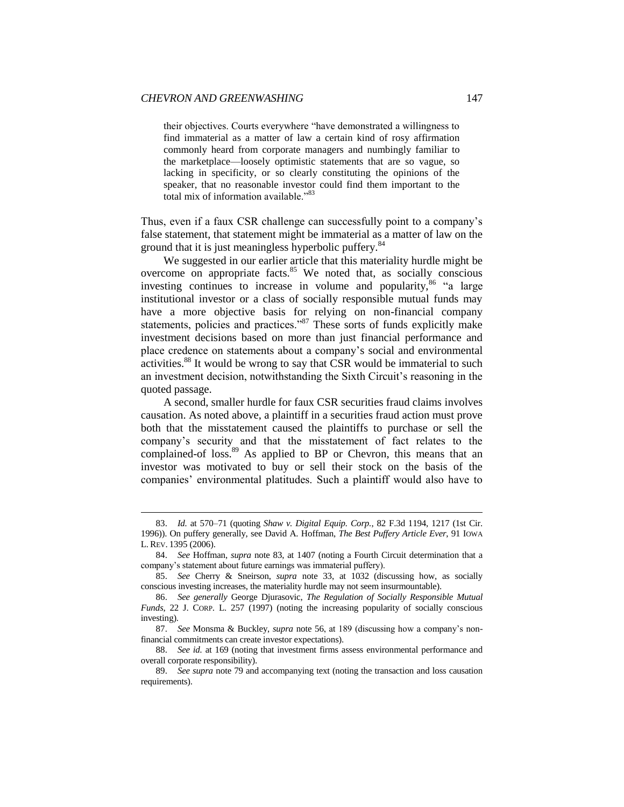**.** 

their objectives. Courts everywhere "have demonstrated a willingness to find immaterial as a matter of law a certain kind of rosy affirmation commonly heard from corporate managers and numbingly familiar to the marketplace—loosely optimistic statements that are so vague, so lacking in specificity, or so clearly constituting the opinions of the speaker, that no reasonable investor could find them important to the total mix of information available."83

Thus, even if a faux CSR challenge can successfully point to a company's false statement, that statement might be immaterial as a matter of law on the ground that it is just meaningless hyperbolic puffery.<sup>84</sup>

We suggested in our earlier article that this materiality hurdle might be overcome on appropriate facts.<sup>85</sup> We noted that, as socially conscious investing continues to increase in volume and popularity, $86$  "a large institutional investor or a class of socially responsible mutual funds may have a more objective basis for relying on non-financial company statements, policies and practices."<sup>87</sup> These sorts of funds explicitly make investment decisions based on more than just financial performance and place credence on statements about a company's social and environmental activities.<sup>88</sup> It would be wrong to say that CSR would be immaterial to such an investment decision, notwithstanding the Sixth Circuit's reasoning in the quoted passage.

A second, smaller hurdle for faux CSR securities fraud claims involves causation. As noted above, a plaintiff in a securities fraud action must prove both that the misstatement caused the plaintiffs to purchase or sell the company's security and that the misstatement of fact relates to the complained-of loss.<sup>89</sup> As applied to BP or Chevron, this means that an investor was motivated to buy or sell their stock on the basis of the companies' environmental platitudes. Such a plaintiff would also have to

<sup>83.</sup> *Id.* at 570–71 (quoting *Shaw v. Digital Equip. Corp.*, 82 F.3d 1194, 1217 (1st Cir. 1996)). On puffery generally, see David A. Hoffman, *The Best Puffery Article Ever*, 91 IOWA L. REV. 1395 (2006).

<sup>84.</sup> *See* Hoffman, *supra* note 83, at 1407 (noting a Fourth Circuit determination that a company's statement about future earnings was immaterial puffery).

<sup>85.</sup> *See* Cherry & Sneirson, *supra* note 33, at 1032 (discussing how, as socially conscious investing increases, the materiality hurdle may not seem insurmountable).

<sup>86.</sup> *See generally* George Djurasovic, *The Regulation of Socially Responsible Mutual Funds*, 22 J. CORP. L. 257 (1997) (noting the increasing popularity of socially conscious investing).

<sup>87.</sup> *See* Monsma & Buckley, *supra* note 56, at 189 (discussing how a company's nonfinancial commitments can create investor expectations).

<sup>88.</sup> *See id.* at 169 (noting that investment firms assess environmental performance and overall corporate responsibility).

<sup>89.</sup> *See supra* note 79 and accompanying text (noting the transaction and loss causation requirements).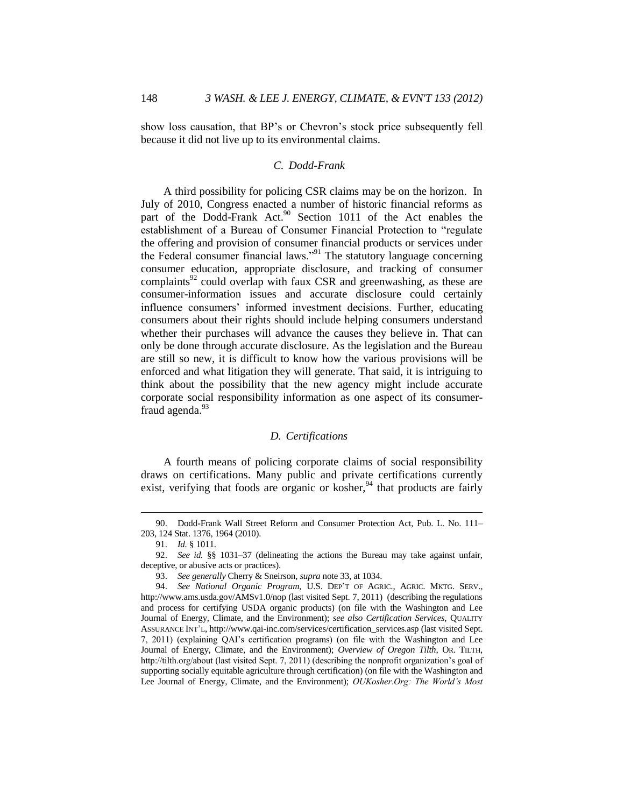show loss causation, that BP's or Chevron's stock price subsequently fell because it did not live up to its environmental claims.

#### <span id="page-16-0"></span>*C. Dodd-Frank*

A third possibility for policing CSR claims may be on the horizon. In July of 2010, Congress enacted a number of historic financial reforms as part of the Dodd-Frank Act.<sup>90</sup> Section 1011 of the Act enables the establishment of a Bureau of Consumer Financial Protection to "regulate the offering and provision of consumer financial products or services under the Federal consumer financial laws."<sup>91</sup> The statutory language concerning consumer education, appropriate disclosure, and tracking of consumer  $complaints<sup>92</sup>$  could overlap with faux CSR and greenwashing, as these are consumer-information issues and accurate disclosure could certainly influence consumers' informed investment decisions. Further, educating consumers about their rights should include helping consumers understand whether their purchases will advance the causes they believe in. That can only be done through accurate disclosure. As the legislation and the Bureau are still so new, it is difficult to know how the various provisions will be enforced and what litigation they will generate. That said, it is intriguing to think about the possibility that the new agency might include accurate corporate social responsibility information as one aspect of its consumerfraud agenda. $93$ 

## <span id="page-16-1"></span>*D. Certifications*

A fourth means of policing corporate claims of social responsibility draws on certifications. Many public and private certifications currently exist, verifying that foods are organic or kosher,  $94$  that products are fairly

<sup>90.</sup> Dodd-Frank Wall Street Reform and Consumer Protection Act, Pub. L. No. 111– 203, 124 Stat. 1376, 1964 (2010).

<sup>91.</sup> *Id.* § 1011.

<sup>92.</sup> *See id.* §§ 1031–37 (delineating the actions the Bureau may take against unfair, deceptive, or abusive acts or practices).

<sup>93.</sup> *See generally* Cherry & Sneirson, *supra* note 33, at 1034.

<sup>94.</sup> *See National Organic Program*, U.S. DEP'T OF AGRIC., AGRIC. MKTG. SERV., http://www.ams.usda.gov/AMSv1.0/nop (last visited Sept. 7, 2011) (describing the regulations and process for certifying USDA organic products) (on file with the Washington and Lee Journal of Energy, Climate, and the Environment); *see also Certification Services*, QUALITY ASSURANCE INT'L, http://www.qai-inc.com/services/certification\_services.asp (last visited Sept. 7, 2011) (explaining QAI's certification programs) (on file with the Washington and Lee Journal of Energy, Climate, and the Environment); *Overview of Oregon Tilth*, OR. TILTH, http://tilth.org/about (last visited Sept. 7, 2011) (describing the nonprofit organization's goal of supporting socially equitable agriculture through certification) (on file with the Washington and Lee Journal of Energy, Climate, and the Environment); *OUKosher.Org: The World's Most*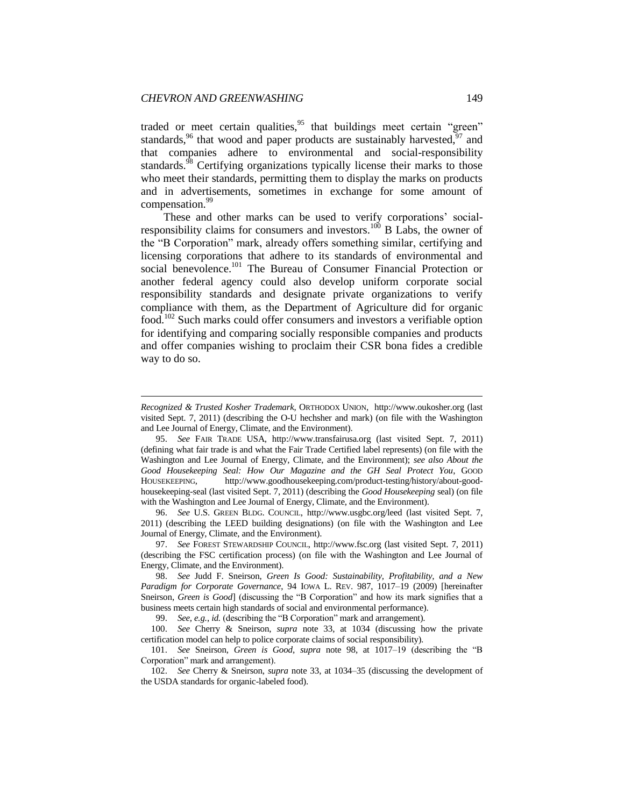1

traded or meet certain qualities,<sup>95</sup> that buildings meet certain "green" standards,<sup>96</sup> that wood and paper products are sustainably harvested,  $97$  and that companies adhere to environmental and social-responsibility standards.<sup>98</sup> Certifying organizations typically license their marks to those who meet their standards, permitting them to display the marks on products and in advertisements, sometimes in exchange for some amount of compensation.<sup>99</sup>

These and other marks can be used to verify corporations' socialresponsibility claims for consumers and investors.<sup>100</sup> B Labs, the owner of the "B Corporation" mark, already offers something similar, certifying and licensing corporations that adhere to its standards of environmental and social benevolence.<sup>101</sup> The Bureau of Consumer Financial Protection or another federal agency could also develop uniform corporate social responsibility standards and designate private organizations to verify compliance with them, as the Department of Agriculture did for organic food.<sup>102</sup> Such marks could offer consumers and investors a verifiable option for identifying and comparing socially responsible companies and products and offer companies wishing to proclaim their CSR bona fides a credible way to do so.

96. *See* U.S. GREEN BLDG. COUNCIL, http://www.usgbc.org/leed (last visited Sept. 7, 2011) (describing the LEED building designations) (on file with the Washington and Lee Journal of Energy, Climate, and the Environment).

97. *See* FOREST STEWARDSHIP COUNCIL, http://www.fsc.org (last visited Sept. 7, 2011) (describing the FSC certification process) (on file with the Washington and Lee Journal of Energy, Climate, and the Environment).

98. *See* Judd F. Sneirson, *Green Is Good: Sustainability, Profitability, and a New Paradigm for Corporate Governance*, 94 IOWA L. REV. 987, 1017–19 (2009) [hereinafter Sneirson, *Green is Good*] (discussing the "B Corporation" and how its mark signifies that a business meets certain high standards of social and environmental performance).

99. *See, e.g.*, *id.* (describing the "B Corporation" mark and arrangement).

100. *See* Cherry & Sneirson, *supra* note 33, at 1034 (discussing how the private certification model can help to police corporate claims of social responsibility).

101. *See* Sneirson, *Green is Good*, *supra* note 98, at 1017–19 (describing the "B Corporation" mark and arrangement).

102. *See* Cherry & Sneirson, *supra* note 33, at 1034–35 (discussing the development of the USDA standards for organic-labeled food).

*Recognized & Trusted Kosher Trademark*, ORTHODOX UNION, http://www.oukosher.org (last visited Sept. 7, 2011) (describing the O-U hechsher and mark) (on file with the Washington and Lee Journal of Energy, Climate, and the Environment).

<sup>95.</sup> *See* FAIR TRADE USA, http://www.transfairusa.org (last visited Sept. 7, 2011) (defining what fair trade is and what the Fair Trade Certified label represents) (on file with the Washington and Lee Journal of Energy, Climate, and the Environment); *see also About the Good Housekeeping Seal: How Our Magazine and the GH Seal Protect You*, GOOD HOUSEKEEPING, http://www.goodhousekeeping.com/product-testing/history/about-goodhousekeeping-seal (last visited Sept. 7, 2011) (describing the *Good Housekeeping* seal) (on file with the Washington and Lee Journal of Energy, Climate, and the Environment).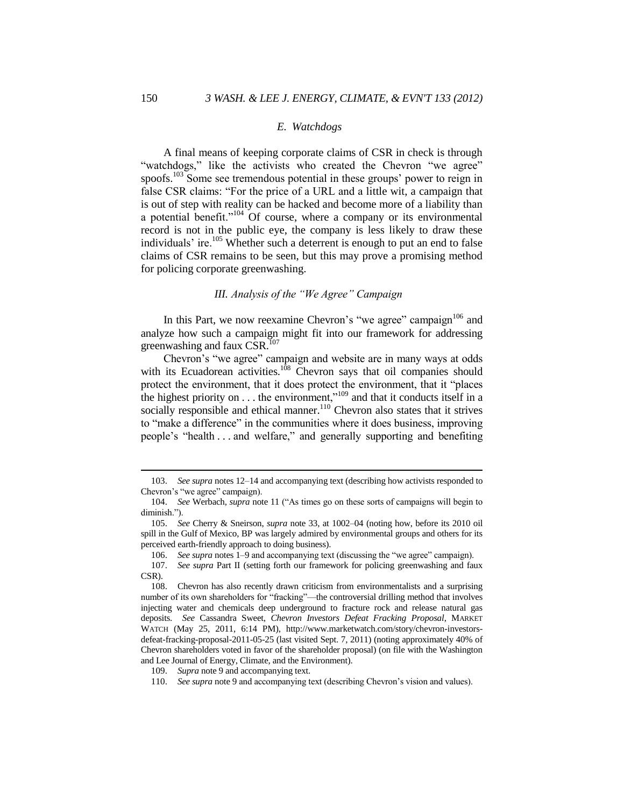#### <span id="page-18-0"></span>*E. Watchdogs*

A final means of keeping corporate claims of CSR in check is through "watchdogs," like the activists who created the Chevron "we agree" spoofs.<sup>103</sup> Some see tremendous potential in these groups' power to reign in false CSR claims: "For the price of a URL and a little wit, a campaign that is out of step with reality can be hacked and become more of a liability than a potential benefit." $104}$  Of course, where a company or its environmental record is not in the public eye, the company is less likely to draw these individuals' ire.<sup>105</sup> Whether such a deterrent is enough to put an end to false claims of CSR remains to be seen, but this may prove a promising method for policing corporate greenwashing.

## <span id="page-18-1"></span>*III. Analysis of the "We Agree" Campaign*

In this Part, we now reexamine Chevron's "we agree" campaign<sup>106</sup> and analyze how such a campaign might fit into our framework for addressing greenwashing and faux CSR.<sup>107</sup>

Chevron's "we agree" campaign and website are in many ways at odds with its Ecuadorean activities.<sup>108</sup> Chevron says that oil companies should protect the environment, that it does protect the environment, that it "places the highest priority on  $\dots$  the environment,"<sup>109</sup> and that it conducts itself in a socially responsible and ethical manner.<sup>110</sup> Chevron also states that it strives to "make a difference" in the communities where it does business, improving people's "health . . . and welfare," and generally supporting and benefiting

<sup>103.</sup> *See supra* notes 12–14 and accompanying text (describing how activists responded to Chevron's "we agree" campaign).

<sup>104.</sup> *See* Werbach, *supra* note 11 ("As times go on these sorts of campaigns will begin to diminish.").

<sup>105.</sup> *See* Cherry & Sneirson, *supra* note 33, at 1002–04 (noting how, before its 2010 oil spill in the Gulf of Mexico, BP was largely admired by environmental groups and others for its perceived earth-friendly approach to doing business).

<sup>106.</sup> *See supra* notes 1–9 and accompanying text (discussing the "we agree" campaign).

<sup>107.</sup> *See supra* Part II (setting forth our framework for policing greenwashing and faux CSR).

<sup>108.</sup> Chevron has also recently drawn criticism from environmentalists and a surprising number of its own shareholders for "fracking"—the controversial drilling method that involves injecting water and chemicals deep underground to fracture rock and release natural gas deposits. *See* Cassandra Sweet, *Chevron Investors Defeat Fracking Proposal*, MARKET WATCH (May 25, 2011, 6:14 PM), http://www.marketwatch.com/story/chevron-investorsdefeat-fracking-proposal-2011-05-25 (last visited Sept. 7, 2011) (noting approximately 40% of Chevron shareholders voted in favor of the shareholder proposal) (on file with the Washington and Lee Journal of Energy, Climate, and the Environment).

<sup>109.</sup> *Supra* note 9 and accompanying text.

<sup>110.</sup> *See supra* note 9 and accompanying text (describing Chevron's vision and values).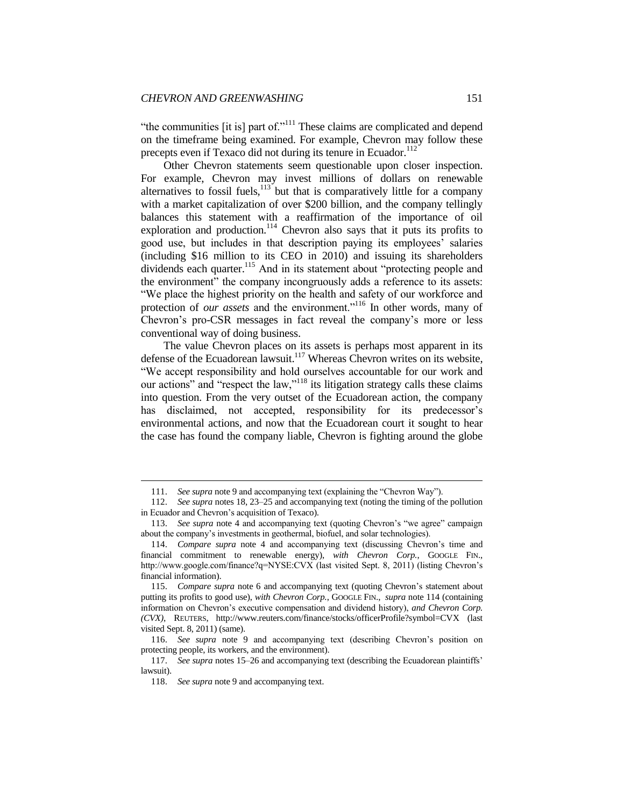"the communities [it is] part of."<sup>111</sup> These claims are complicated and depend on the timeframe being examined. For example, Chevron may follow these precepts even if Texaco did not during its tenure in Ecuador.<sup>112</sup>

Other Chevron statements seem questionable upon closer inspection. For example, Chevron may invest millions of dollars on renewable alternatives to fossil fuels,  $113$  but that is comparatively little for a company with a market capitalization of over \$200 billion, and the company tellingly balances this statement with a reaffirmation of the importance of oil exploration and production.<sup>114</sup> Chevron also says that it puts its profits to good use, but includes in that description paying its employees' salaries (including \$16 million to its CEO in 2010) and issuing its shareholders dividends each quarter.<sup>115</sup> And in its statement about "protecting people and the environment" the company incongruously adds a reference to its assets: "We place the highest priority on the health and safety of our workforce and protection of *our assets* and the environment."<sup>116</sup> In other words, many of Chevron's pro-CSR messages in fact reveal the company's more or less conventional way of doing business.

The value Chevron places on its assets is perhaps most apparent in its defense of the Ecuadorean lawsuit.<sup>117</sup> Whereas Chevron writes on its website, "We accept responsibility and hold ourselves accountable for our work and our actions" and "respect the law,"<sup>118</sup> its litigation strategy calls these claims into question. From the very outset of the Ecuadorean action, the company has disclaimed, not accepted, responsibility for its predecessor's environmental actions, and now that the Ecuadorean court it sought to hear the case has found the company liable, Chevron is fighting around the globe

<sup>111.</sup> *See supra* note 9 and accompanying text (explaining the "Chevron Way").

<sup>112.</sup> *See supra* notes 18, 23–25 and accompanying text (noting the timing of the pollution in Ecuador and Chevron's acquisition of Texaco).

<sup>113.</sup> *See supra* note 4 and accompanying text (quoting Chevron's "we agree" campaign about the company's investments in geothermal, biofuel, and solar technologies).

<sup>114.</sup> *Compare supra* note 4 and accompanying text (discussing Chevron's time and financial commitment to renewable energy), with Chevron Corp., GOOGLE FIN., http://www.google.com/finance?q=NYSE:CVX (last visited Sept. 8, 2011) (listing Chevron's financial information).

<sup>115.</sup> *Compare supra* note 6 and accompanying text (quoting Chevron's statement about putting its profits to good use), *with Chevron Corp.*, GOOGLE FIN., *supra* note 114 (containing information on Chevron's executive compensation and dividend history), *and Chevron Corp. (CVX)*, REUTERS, http://www.reuters.com/finance/stocks/officerProfile?symbol=CVX (last visited Sept. 8, 2011) (same).

<sup>116.</sup> *See supra* note 9 and accompanying text (describing Chevron's position on protecting people, its workers, and the environment).

<sup>117.</sup> *See supra* notes 15–26 and accompanying text (describing the Ecuadorean plaintiffs' lawsuit).

<sup>118.</sup> *See supra* note 9 and accompanying text.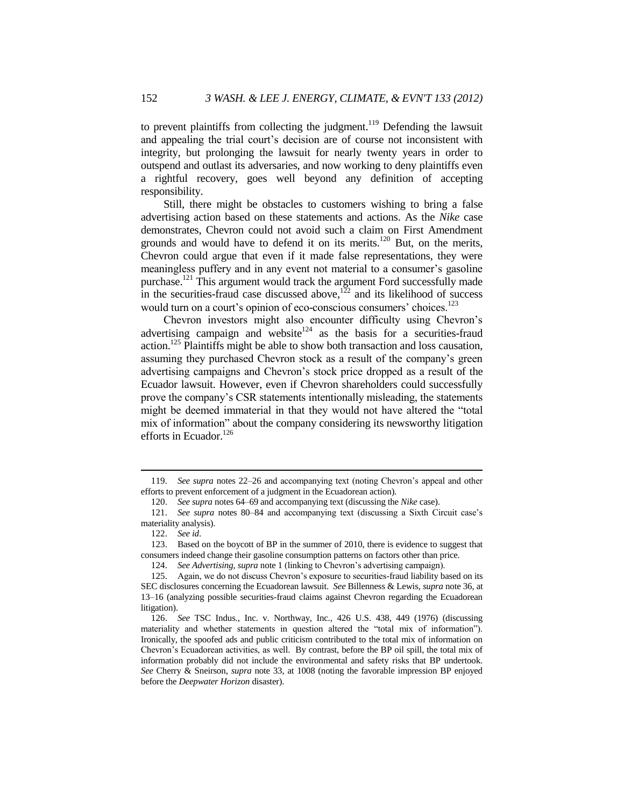to prevent plaintiffs from collecting the judgment.<sup>119</sup> Defending the lawsuit and appealing the trial court's decision are of course not inconsistent with integrity, but prolonging the lawsuit for nearly twenty years in order to outspend and outlast its adversaries, and now working to deny plaintiffs even a rightful recovery, goes well beyond any definition of accepting responsibility.

Still, there might be obstacles to customers wishing to bring a false advertising action based on these statements and actions. As the *Nike* case demonstrates, Chevron could not avoid such a claim on First Amendment grounds and would have to defend it on its merits.<sup>120</sup> But, on the merits, Chevron could argue that even if it made false representations, they were meaningless puffery and in any event not material to a consumer's gasoline purchase.<sup>121</sup> This argument would track the argument Ford successfully made in the securities-fraud case discussed above, $122$  and its likelihood of success would turn on a court's opinion of eco-conscious consumers' choices.<sup>123</sup>

Chevron investors might also encounter difficulty using Chevron's advertising campaign and website<sup>124</sup> as the basis for a securities-fraud action.<sup>125</sup> Plaintiffs might be able to show both transaction and loss causation, assuming they purchased Chevron stock as a result of the company's green advertising campaigns and Chevron's stock price dropped as a result of the Ecuador lawsuit. However, even if Chevron shareholders could successfully prove the company's CSR statements intentionally misleading, the statements might be deemed immaterial in that they would not have altered the "total mix of information" about the company considering its newsworthy litigation efforts in Ecuador.<sup>126</sup>

<sup>119.</sup> *See supra* notes 22–26 and accompanying text (noting Chevron's appeal and other efforts to prevent enforcement of a judgment in the Ecuadorean action).

<sup>120.</sup> *See supra* notes 64–69 and accompanying text (discussing the *Nike* case).

<sup>121.</sup> *See supra* notes 80–84 and accompanying text (discussing a Sixth Circuit case's materiality analysis).

<sup>122.</sup> *See id*.

<sup>123.</sup> Based on the boycott of BP in the summer of 2010, there is evidence to suggest that consumers indeed change their gasoline consumption patterns on factors other than price.

<sup>124.</sup> *See Advertising*, *supra* note 1 (linking to Chevron's advertising campaign).

<sup>125.</sup> Again, we do not discuss Chevron's exposure to securities-fraud liability based on its SEC disclosures concerning the Ecuadorean lawsuit. *See* Billenness & Lewis, *supra* note 36, at 13–16 (analyzing possible securities-fraud claims against Chevron regarding the Ecuadorean litigation).

<sup>126.</sup> *See* TSC Indus., Inc. v. Northway, Inc., 426 U.S. 438, 449 (1976) (discussing materiality and whether statements in question altered the "total mix of information"). Ironically, the spoofed ads and public criticism contributed to the total mix of information on Chevron's Ecuadorean activities, as well. By contrast, before the BP oil spill, the total mix of information probably did not include the environmental and safety risks that BP undertook. *See* Cherry & Sneirson, *supra* note 33, at 1008 (noting the favorable impression BP enjoyed before the *Deepwater Horizon* disaster).